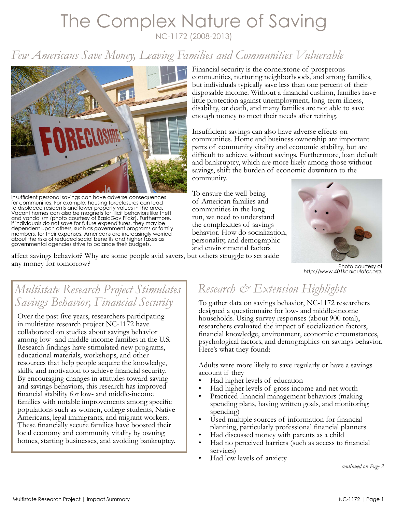# The Complex Nature of Saving NC-1172 (2008-2013)

# *Few Americans Save Money, Leaving Families and Communities Vulnerable*



Insufficient personal savings can have adverse consequences for communities. For example, housing foreclosures can lead to displaced residents and lower property values in the area. Vacant homes can also be magnets for illicit behaviors like theft and vandalism (photo courtesy of BasicGov Flickr). Furthermore, if individuals do not save for future expenditures, they may be dependent upon others, such as government programs or family members, for their expenses. Americans are increasingly worried about the risks of reduced social benefits and higher taxes as governmental agencies strive to balance their budgets.

any money for tomorrow?

Financial security is the cornerstone of prosperous communities, nurturing neighborhoods, and strong families, but individuals typically save less than one percent of their disposable income. Without a financial cushion, families have little protection against unemployment, long-term illness, disability, or death, and many families are not able to save enough money to meet their needs after retiring.

Insufficient savings can also have adverse effects on communities. Home and business ownership are important parts of community vitality and economic stability, but are difficult to achieve without savings. Furthermore, loan default and bankruptcy, which are more likely among those without savings, shift the burden of economic downturn to the community.

To ensure the well-being of American families and communities in the long run, we need to understand the complexities of savings behavior. How do socialization, personality, and demographic and environmental factors affect savings behavior? Why are some people avid savers, but others struggle to set aside



Photo courtesy of *[http://www.401kcalculator.org.](http://www.401kcalculator.org)*

## *Multistate Research Project Stimulates Savings Behavior, Financial Security*

Over the past five years, researchers participating in multistate research project NC-1172 have collaborated on studies about savings behavior among low- and middle-income families in the U.S. Research findings have stimulated new programs, educational materials, workshops, and other resources that help people acquire the knowledge, skills, and motivation to achieve financial security. By encouraging changes in attitudes toward saving and savings behaviors, this research has improved financial stability for low- and middle-income families with notable improvements among specific populations such as women, college students, Native Americans, legal immigrants, and migrant workers. These financially secure families have boosted their local economy and community vitality by owning homes, starting businesses, and avoiding bankruptcy.

# *Research & Extension Highlights*

To gather data on savings behavior, NC-1172 researchers designed a questionnaire for low- and middle-income households. Using survey responses (about 900 total), researchers evaluated the impact of socialization factors, financial knowledge, environment, economic circumstances, psychological factors, and demographics on savings behavior. Here's what they found:

Adults were more likely to save regularly or have a savings account if they

- Had higher levels of education
- Had higher levels of gross income and net worth
- Practiced financial management behaviors (making spending plans, having written goals, and monitoring spending)
- Used multiple sources of information for financial planning, particularly professional financial planners
- Had discussed money with parents as a child
- Had no perceived barriers (such as access to financial services)
- Had low levels of anxiety

*continued on Page 2*